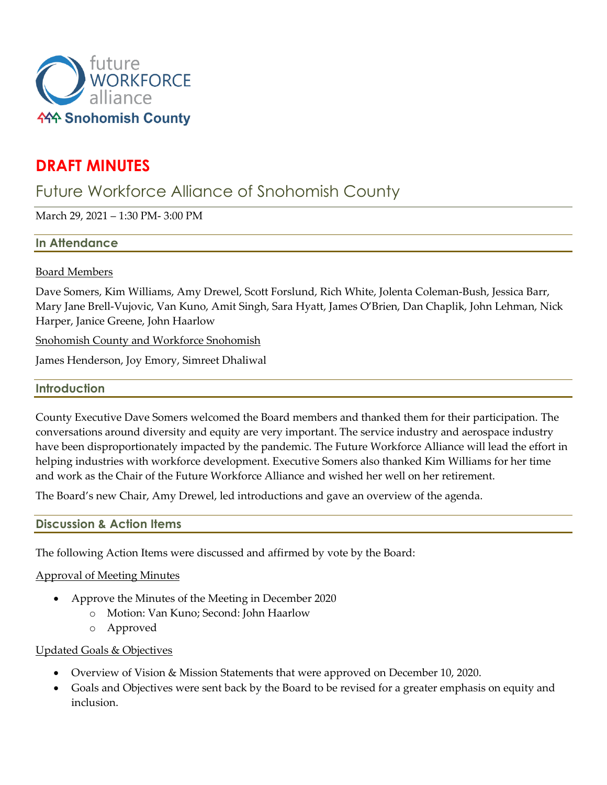

# **DRAFT MINUTES**

# Future Workforce Alliance of Snohomish County

March 29, 2021 – 1:30 PM- 3:00 PM

# **In Attendance**

## Board Members

Dave Somers, Kim Williams, Amy Drewel, Scott Forslund, Rich White, Jolenta Coleman-Bush, Jessica Barr, Mary Jane Brell-Vujovic, Van Kuno, Amit Singh, Sara Hyatt, James O'Brien, Dan Chaplik, John Lehman, Nick Harper, Janice Greene, John Haarlow

Snohomish County and Workforce Snohomish

James Henderson, Joy Emory, Simreet Dhaliwal

## **Introduction**

County Executive Dave Somers welcomed the Board members and thanked them for their participation. The conversations around diversity and equity are very important. The service industry and aerospace industry have been disproportionately impacted by the pandemic. The Future Workforce Alliance will lead the effort in helping industries with workforce development. Executive Somers also thanked Kim Williams for her time and work as the Chair of the Future Workforce Alliance and wished her well on her retirement.

The Board's new Chair, Amy Drewel, led introductions and gave an overview of the agenda.

# **Discussion & Action Items**

The following Action Items were discussed and affirmed by vote by the Board:

## Approval of Meeting Minutes

- Approve the Minutes of the Meeting in December 2020
	- o Motion: Van Kuno; Second: John Haarlow
	- o Approved

## Updated Goals & Objectives

- Overview of Vision & Mission Statements that were approved on December 10, 2020.
- Goals and Objectives were sent back by the Board to be revised for a greater emphasis on equity and inclusion.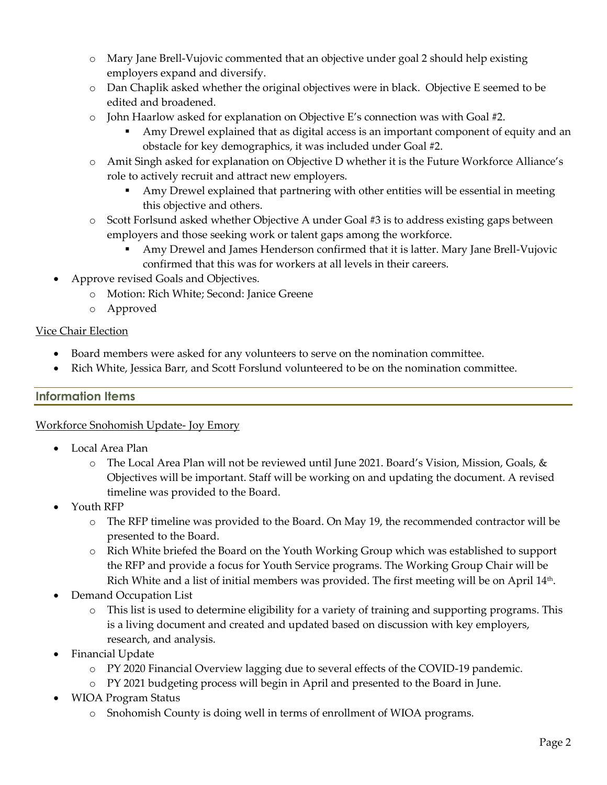- o Mary Jane Brell-Vujovic commented that an objective under goal 2 should help existing employers expand and diversify.
- o Dan Chaplik asked whether the original objectives were in black. Objective E seemed to be edited and broadened.
- $\circ$  John Haarlow asked for explanation on Objective E's connection was with Goal #2.
	- Amy Drewel explained that as digital access is an important component of equity and an obstacle for key demographics, it was included under Goal #2.
- o Amit Singh asked for explanation on Objective D whether it is the Future Workforce Alliance's role to actively recruit and attract new employers.
	- Amy Drewel explained that partnering with other entities will be essential in meeting this objective and others.
- o Scott Forlsund asked whether Objective A under Goal #3 is to address existing gaps between employers and those seeking work or talent gaps among the workforce.
	- Amy Drewel and James Henderson confirmed that it is latter. Mary Jane Brell-Vujovic confirmed that this was for workers at all levels in their careers.
- Approve revised Goals and Objectives.
	- o Motion: Rich White; Second: Janice Greene
	- o Approved

# Vice Chair Election

- Board members were asked for any volunteers to serve on the nomination committee.
- Rich White, Jessica Barr, and Scott Forslund volunteered to be on the nomination committee.

# **Information Items**

# Workforce Snohomish Update- Joy Emory

- Local Area Plan
	- o The Local Area Plan will not be reviewed until June 2021. Board's Vision, Mission, Goals, & Objectives will be important. Staff will be working on and updating the document. A revised timeline was provided to the Board.
- Youth RFP
	- o The RFP timeline was provided to the Board. On May 19, the recommended contractor will be presented to the Board.
	- o Rich White briefed the Board on the Youth Working Group which was established to support the RFP and provide a focus for Youth Service programs. The Working Group Chair will be Rich White and a list of initial members was provided. The first meeting will be on April 14th.
- Demand Occupation List
	- o This list is used to determine eligibility for a variety of training and supporting programs. This is a living document and created and updated based on discussion with key employers, research, and analysis.
- Financial Update
	- o PY 2020 Financial Overview lagging due to several effects of the COVID-19 pandemic.
	- o PY 2021 budgeting process will begin in April and presented to the Board in June.
- WIOA Program Status
	- o Snohomish County is doing well in terms of enrollment of WIOA programs.